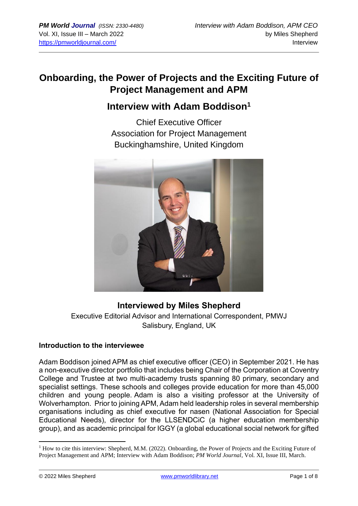## **Onboarding, the Power of Projects and the Exciting Future of Project Management and APM**

## **Interview with Adam Boddison<sup>1</sup>**

Chief Executive Officer Association for Project Management Buckinghamshire, United Kingdom



## **Interviewed by Miles Shepherd**

Executive Editorial Advisor and International Correspondent, PMWJ Salisbury, England, UK

#### **Introduction to the interviewee**

Adam Boddison joined APM as chief executive officer (CEO) in September 2021. He has a non-executive director portfolio that includes being Chair of the Corporation at Coventry College and Trustee at two multi-academy trusts spanning 80 primary, secondary and specialist settings. These schools and colleges provide education for more than 45,000 children and young people. Adam is also a visiting professor at the University of Wolverhampton. Prior to joining APM, Adam held leadership roles in several membership organisations including as chief executive for nasen (National Association for Special Educational Needs), director for the LLSENDCiC (a higher education membership group), and as academic principal for IGGY (a global educational social network for gifted

<sup>&</sup>lt;sup>1</sup> How to cite this interview: Shepherd, M.M. (2022). Onboarding, the Power of Projects and the Exciting Future of Project Management and APM; Interview with Adam Boddison; *PM World Journal*, Vol. XI, Issue III, March.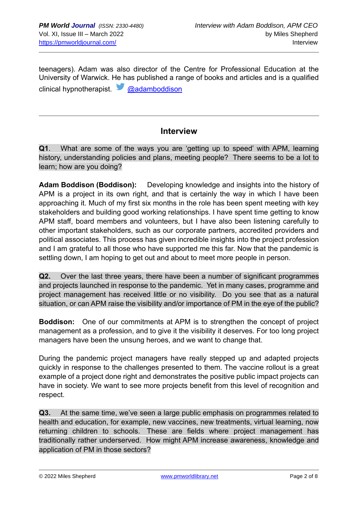teenagers). Adam was also director of the Centre for Professional Education at the University of Warwick. He has published a range of books and articles and is a qualified clinical hypnotherapist. [@adamboddison](about:blank)

## **Interview**

**Q1**. What are some of the ways you are 'getting up to speed' with APM, learning history, understanding policies and plans, meeting people? There seems to be a lot to learn; how are you doing?

**Adam Boddison (Boddison):** Developing knowledge and insights into the history of APM is a project in its own right, and that is certainly the way in which I have been approaching it. Much of my first six months in the role has been spent meeting with key stakeholders and building good working relationships. I have spent time getting to know APM staff, board members and volunteers, but I have also been listening carefully to other important stakeholders, such as our corporate partners, accredited providers and political associates. This process has given incredible insights into the project profession and I am grateful to all those who have supported me this far. Now that the pandemic is settling down, I am hoping to get out and about to meet more people in person.

**Q2.** Over the last three years, there have been a number of significant programmes and projects launched in response to the pandemic. Yet in many cases, programme and project management has received little or no visibility. Do you see that as a natural situation, or can APM raise the visibility and/or importance of PM in the eye of the public?

**Boddison:** One of our commitments at APM is to strengthen the concept of project management as a profession, and to give it the visibility it deserves. For too long project managers have been the unsung heroes, and we want to change that.

During the pandemic project managers have really stepped up and adapted projects quickly in response to the challenges presented to them. The vaccine rollout is a great example of a project done right and demonstrates the positive public impact projects can have in society. We want to see more projects benefit from this level of recognition and respect.

**Q3.** At the same time, we've seen a large public emphasis on programmes related to health and education, for example, new vaccines, new treatments, virtual learning, now returning children to schools. These are fields where project management has traditionally rather underserved. How might APM increase awareness, knowledge and application of PM in those sectors?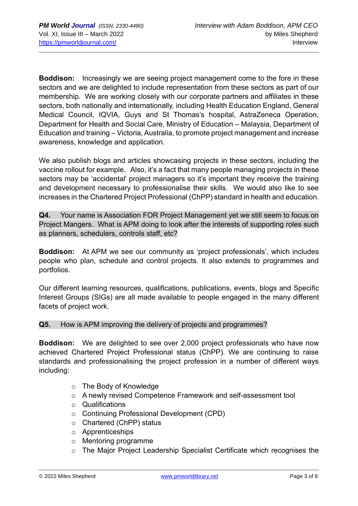**Boddison:** Increasingly we are seeing project management come to the fore in these sectors and we are delighted to include representation from these sectors as part of our membership. We are working closely with our corporate partners and affiliates in these sectors, both nationally and internationally, including Health Education England, General Medical Council, IQVIA, Guys and St Thomas's hospital, AstraZeneca Operation, Department for Health and Social Care, Ministry of Education – Malaysia, Department of Education and training – Victoria, Australia, to promote project management and increase awareness, knowledge and application.

We also publish blogs and articles showcasing projects in these sectors, including the vaccine rollout for example. Also, it's a fact that many people managing projects in these sectors may be 'accidental' project managers so it's important they receive the training and development necessary to professionalise their skills. We would also like to see increases in the Chartered Project Professional (ChPP) standard in health and education.

**Q4.** Your name is Association FOR Project Management yet we still seem to focus on Project Mangers. What is APM doing to look after the interests of supporting roles such as planners, schedulers, controls staff, etc?

**Boddison:** At APM we see our community as 'project professionals', which includes people who plan, schedule and control projects. It also extends to programmes and portfolios.

Our different learning resources, qualifications, publications, events, blogs and Specific Interest Groups (SIGs) are all made available to people engaged in the many different facets of project work.

#### **Q5.** How is APM improving the delivery of projects and programmes?

**Boddison:** We are delighted to see over 2,000 project professionals who have now achieved Chartered Project Professional status (ChPP). We are continuing to raise standards and professionalising the project profession in a number of different ways including:

- o The Body of Knowledge
- o A newly revised Competence Framework and self-assessment tool
- o Qualifications
- o Continuing Professional Development (CPD)
- o Chartered (ChPP) status
- o Apprenticeships
- o Mentoring programme
- o The Major Project Leadership Specialist Certificate which recognises the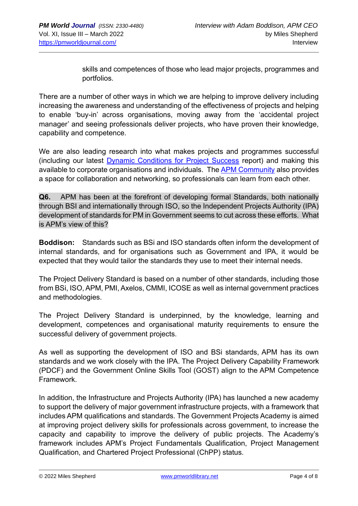skills and competences of those who lead major projects, programmes and portfolios.

There are a number of other ways in which we are helping to improve delivery including increasing the awareness and understanding of the effectiveness of projects and helping to enable 'buy-in' across organisations, moving away from the 'accidental project manager' and seeing professionals deliver projects, who have proven their knowledge, capability and competence.

We are also leading research into what makes projects and programmes successful (including our latest [Dynamic Conditions for Project Success](about:blank) report) and making this available to corporate organisations and individuals. The [APM Community](about:blank) also provides a space for collaboration and networking, so professionals can learn from each other.

**Q6.** APM has been at the forefront of developing formal Standards, both nationally through BSI and internationally through ISO, so the Independent Projects Authority (IPA) development of standards for PM in Government seems to cut across these efforts. What is APM's view of this?

**Boddison:** Standards such as BSi and ISO standards often inform the development of internal standards, and for organisations such as Government and IPA, it would be expected that they would tailor the standards they use to meet their internal needs.

The Project Delivery Standard is based on a number of other standards, including those from BSi, ISO, APM, PMI, Axelos, CMMI, ICOSE as well as internal government practices and methodologies.

The Project Delivery Standard is underpinned, by the knowledge, learning and development, competences and organisational maturity requirements to ensure the successful delivery of government projects.

As well as supporting the development of ISO and BSi standards, APM has its own standards and we work closely with the IPA. The Project Delivery Capability Framework (PDCF) and the Government Online Skills Tool (GOST) align to the APM Competence Framework.

In addition, the Infrastructure and Projects Authority (IPA) has launched a new academy to support the delivery of major government infrastructure projects, with a framework that includes APM qualifications and standards. The Government Projects Academy is aimed at improving project delivery skills for professionals across government, to increase the capacity and capability to improve the delivery of public projects. The Academy's framework includes APM's Project Fundamentals Qualification, Project Management Qualification, and Chartered Project Professional (ChPP) status.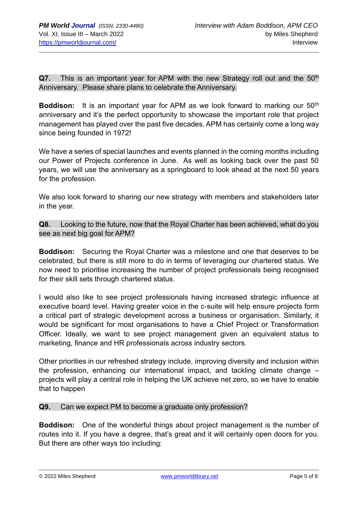**Q7.** This is an important year for APM with the new Strategy roll out and the 50<sup>th</sup> Anniversary. Please share plans to celebrate the Anniversary.

**Boddison:** It is an important year for APM as we look forward to marking our 50<sup>th</sup> anniversary and it's the perfect opportunity to showcase the important role that project management has played over the past five decades. APM has certainly come a long way since being founded in 1972!

We have a series of special launches and events planned in the coming months including our Power of Projects conference in June. As well as looking back over the past 50 years, we will use the anniversary as a springboard to look ahead at the next 50 years for the profession.

We also look forward to sharing our new strategy with members and stakeholders later in the year.

**Q8.** Looking to the future, now that the Royal Charter has been achieved, what do you see as next big goal for APM?

**Boddison:** Securing the Royal Charter was a milestone and one that deserves to be celebrated, but there is still more to do in terms of leveraging our chartered status. We now need to prioritise increasing the number of project professionals being recognised for their skill sets through chartered status.

I would also like to see project professionals having increased strategic influence at executive board level. Having greater voice in the c-suite will help ensure projects form a critical part of strategic development across a business or organisation. Similarly, it would be significant for most organisations to have a Chief Project or Transformation Officer. Ideally, we want to see project management given an equivalent status to marketing, finance and HR professionals across industry sectors.

Other priorities in our refreshed strategy include, improving diversity and inclusion within the profession, enhancing our international impact, and tackling climate change – projects will play a central role in helping the UK achieve net zero, so we have to enable that to happen

#### **Q9.** Can we expect PM to become a graduate only profession?

**Boddison:** One of the wonderful things about project management is the number of routes into it. If you have a degree, that's great and it will certainly open doors for you. But there are other ways too including: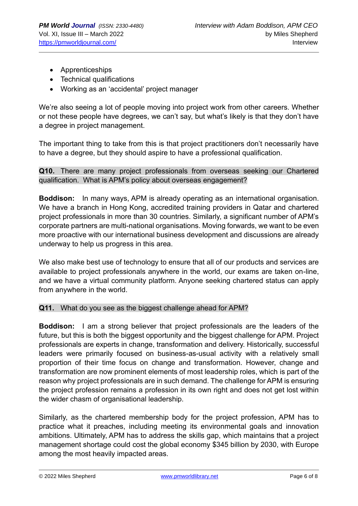- Apprenticeships
- Technical qualifications
- Working as an 'accidental' project manager

We're also seeing a lot of people moving into project work from other careers. Whether or not these people have degrees, we can't say, but what's likely is that they don't have a degree in project management.

The important thing to take from this is that project practitioners don't necessarily have to have a degree, but they should aspire to have a professional qualification.

**Q10.** There are many project professionals from overseas seeking our Chartered qualification. What is APM's policy about overseas engagement?

**Boddison:** In many ways, APM is already operating as an international organisation. We have a branch in Hong Kong, accredited training providers in Qatar and chartered project professionals in more than 30 countries. Similarly, a significant number of APM's corporate partners are multi-national organisations. Moving forwards, we want to be even more proactive with our international business development and discussions are already underway to help us progress in this area.

We also make best use of technology to ensure that all of our products and services are available to project professionals anywhere in the world, our exams are taken on-line, and we have a virtual community platform. Anyone seeking chartered status can apply from anywhere in the world.

#### **Q11.** What do you see as the biggest challenge ahead for APM?

**Boddison:** I am a strong believer that project professionals are the leaders of the future, but this is both the biggest opportunity and the biggest challenge for APM. Project professionals are experts in change, transformation and delivery. Historically, successful leaders were primarily focused on business-as-usual activity with a relatively small proportion of their time focus on change and transformation. However, change and transformation are now prominent elements of most leadership roles, which is part of the reason why project professionals are in such demand. The challenge for APM is ensuring the project profession remains a profession in its own right and does not get lost within the wider chasm of organisational leadership.

Similarly, as the chartered membership body for the project profession, APM has to practice what it preaches, including meeting its environmental goals and innovation ambitions. Ultimately, APM has to address the skills gap, which maintains that a project management shortage could cost the global economy \$345 billion by 2030, with Europe among the most heavily impacted areas.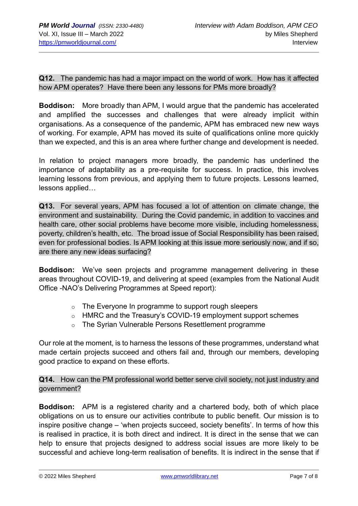### **Q12.** The pandemic has had a major impact on the world of work. How has it affected how APM operates? Have there been any lessons for PMs more broadly?

**Boddison:** More broadly than APM, I would argue that the pandemic has accelerated and amplified the successes and challenges that were already implicit within organisations. As a consequence of the pandemic, APM has embraced new new ways of working. For example, APM has moved its suite of qualifications online more quickly than we expected, and this is an area where further change and development is needed.

In relation to project managers more broadly, the pandemic has underlined the importance of adaptability as a pre-requisite for success. In practice, this involves learning lessons from previous, and applying them to future projects. Lessons learned, lessons applied…

**Q13.** For several years, APM has focused a lot of attention on climate change, the environment and sustainability. During the Covid pandemic, in addition to vaccines and health care, other social problems have become more visible, including homelessness, poverty, children's health, etc. The broad issue of Social Responsibility has been raised, even for professional bodies. Is APM looking at this issue more seriously now, and if so, are there any new ideas surfacing?

**Boddison:** We've seen projects and programme management delivering in these areas throughout COVID-19, and delivering at speed (examples from the National Audit Office -NAO's Delivering Programmes at Speed report):

- o The Everyone In programme to support rough sleepers
- o HMRC and the Treasury's COVID-19 employment support schemes
- o The Syrian Vulnerable Persons Resettlement programme

Our role at the moment, is to harness the lessons of these programmes, understand what made certain projects succeed and others fail and, through our members, developing good practice to expand on these efforts.

**Q14.** How can the PM professional world better serve civil society, not just industry and government?

**Boddison:** APM is a registered charity and a chartered body, both of which place obligations on us to ensure our activities contribute to public benefit. Our mission is to inspire positive change – 'when projects succeed, society benefits'. In terms of how this is realised in practice, it is both direct and indirect. It is direct in the sense that we can help to ensure that projects designed to address social issues are more likely to be successful and achieve long-term realisation of benefits. It is indirect in the sense that if